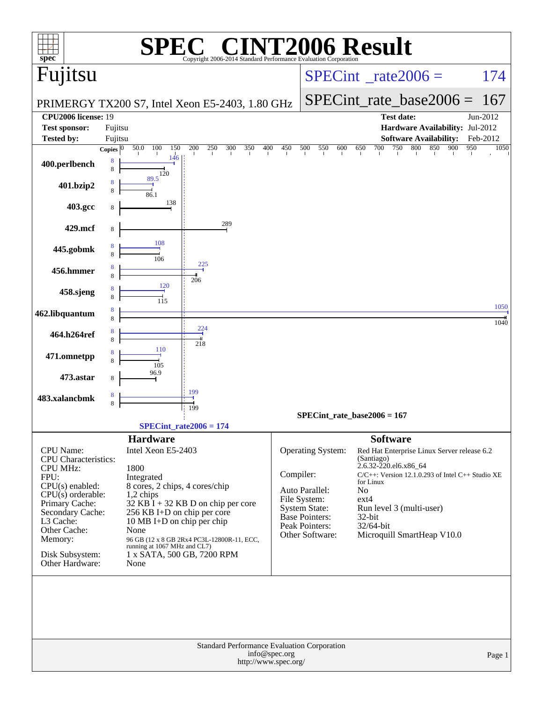| $spec^*$                            |                                                 |                                       | Copyright 2006-2014 Standard Performance Evaluation Corporation |            |                                 | <b>T2006 Result</b>                                            |             |
|-------------------------------------|-------------------------------------------------|---------------------------------------|-----------------------------------------------------------------|------------|---------------------------------|----------------------------------------------------------------|-------------|
| Fujitsu                             |                                                 |                                       |                                                                 |            |                                 | $SPECint^{\circ}$ <sub>_rate2006</sub> =                       | 174         |
|                                     |                                                 |                                       |                                                                 |            |                                 | $SPECint_rate\_base2006 =$                                     | 167         |
| <b>CPU2006 license: 19</b>          |                                                 |                                       | PRIMERGY TX200 S7, Intel Xeon E5-2403, 1.80 GHz                 |            |                                 | <b>Test date:</b>                                              | Jun-2012    |
| <b>Test sponsor:</b>                | Fujitsu                                         |                                       |                                                                 |            |                                 | Hardware Availability: Jul-2012                                |             |
| <b>Tested by:</b>                   | Fujitsu                                         |                                       |                                                                 |            |                                 | <b>Software Availability:</b>                                  | Feb-2012    |
|                                     | Copies $\overline{0}$                           | 50.0<br>100<br>150<br>146             | 250<br>350<br>200<br>300                                        | 450<br>400 | 500<br>550<br>600               | 800<br>650<br>700<br>750<br>850<br>900                         | 950<br>1050 |
| 400.perlbench                       | 8<br>8                                          | 120                                   |                                                                 |            |                                 |                                                                |             |
| 401.bzip2                           | 8<br>8                                          | 89.5<br>86.1                          |                                                                 |            |                                 |                                                                |             |
| 403.gcc                             | 8                                               | 138                                   |                                                                 |            |                                 |                                                                |             |
| 429.mcf                             | 8                                               |                                       | 289                                                             |            |                                 |                                                                |             |
|                                     | 8                                               | 108                                   |                                                                 |            |                                 |                                                                |             |
| 445.gobmk                           | 8                                               | 106                                   | 225                                                             |            |                                 |                                                                |             |
| 456.hmmer                           | 8<br>8                                          |                                       | 206                                                             |            |                                 |                                                                |             |
| 458.sjeng                           | 8<br>8                                          | 120<br>115                            |                                                                 |            |                                 |                                                                |             |
| 462.libquantum                      | 8<br>8                                          |                                       |                                                                 |            |                                 |                                                                | 1050        |
| 464.h264ref                         | 8<br>8                                          |                                       | $\frac{224}{1}$                                                 |            |                                 |                                                                | 1040        |
| 471.omnetpp                         | 8                                               | 110                                   | 218                                                             |            |                                 |                                                                |             |
|                                     | 8                                               | 105<br>96.9                           |                                                                 |            |                                 |                                                                |             |
| 473.astar                           | 8                                               |                                       | 199                                                             |            |                                 |                                                                |             |
| 483.xalancbmk                       | 8<br>8                                          |                                       | 199                                                             |            |                                 |                                                                |             |
|                                     |                                                 |                                       |                                                                 |            |                                 | $SPECint_rate_base2006 = 167$                                  |             |
|                                     |                                                 |                                       | $SPECint_rate2006 = 174$                                        |            |                                 |                                                                |             |
| CPU Name:                           |                                                 | <b>Hardware</b><br>Intel Xeon E5-2403 |                                                                 |            | Operating System:               | <b>Software</b><br>Red Hat Enterprise Linux Server release 6.2 |             |
| CPU Characteristics:                |                                                 |                                       |                                                                 |            |                                 | (Santiago)<br>2.6.32-220.el6.x86 64                            |             |
| <b>CPU MHz:</b><br>FPU:             |                                                 | 1800<br>Integrated                    |                                                                 | Compiler:  |                                 | $C/C++$ : Version 12.1.0.293 of Intel $C++$ Studio XE          |             |
| $CPU(s)$ enabled:                   |                                                 | 8 cores, 2 chips, 4 cores/chip        |                                                                 |            | Auto Parallel:                  | for Linux<br>No                                                |             |
| CPU(s) orderable:<br>Primary Cache: |                                                 | 1,2 chips                             | $32$ KB $\hat{I}$ + 32 KB D on chip per core                    |            | File System:                    | $ext{4}$                                                       |             |
| Secondary Cache:                    |                                                 | 256 KB I+D on chip per core           |                                                                 |            | System State:<br>Base Pointers: | Run level 3 (multi-user)<br>32-bit                             |             |
| L3 Cache:                           |                                                 | 10 MB I+D on chip per chip            |                                                                 |            | Peak Pointers:                  | 32/64-bit                                                      |             |
| Other Cache:<br>Memory:             |                                                 | None                                  | 96 GB (12 x 8 GB 2Rx4 PC3L-12800R-11, ECC,                      |            | Other Software:                 | Microquill SmartHeap V10.0                                     |             |
|                                     |                                                 | running at 1067 MHz and CL7)          |                                                                 |            |                                 |                                                                |             |
| Disk Subsystem:<br>Other Hardware:  |                                                 | None                                  | 1 x SATA, 500 GB, 7200 RPM                                      |            |                                 |                                                                |             |
|                                     |                                                 |                                       |                                                                 |            |                                 |                                                                |             |
|                                     |                                                 |                                       | <b>Standard Performance Evaluation Corporation</b>              |            |                                 |                                                                |             |
|                                     | info@spec.org<br>Page 1<br>http://www.spec.org/ |                                       |                                                                 |            |                                 |                                                                |             |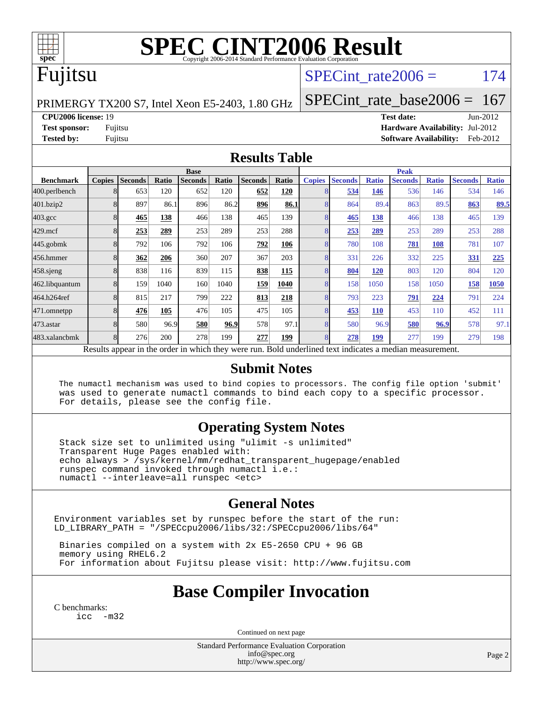

# **[SPEC CINT2006 Result](http://www.spec.org/auto/cpu2006/Docs/result-fields.html#SPECCINT2006Result)**

### Fujitsu

### SPECint rate $2006 = 174$

PRIMERGY TX200 S7, Intel Xeon E5-2403, 1.80 GHz

[SPECint\\_rate\\_base2006 =](http://www.spec.org/auto/cpu2006/Docs/result-fields.html#SPECintratebase2006) 167

**[CPU2006 license:](http://www.spec.org/auto/cpu2006/Docs/result-fields.html#CPU2006license)** 19 **[Test date:](http://www.spec.org/auto/cpu2006/Docs/result-fields.html#Testdate)** Jun-2012

**[Test sponsor:](http://www.spec.org/auto/cpu2006/Docs/result-fields.html#Testsponsor)** Fujitsu **[Hardware Availability:](http://www.spec.org/auto/cpu2006/Docs/result-fields.html#HardwareAvailability)** Jul-2012 **[Tested by:](http://www.spec.org/auto/cpu2006/Docs/result-fields.html#Testedby)** Fujitsu **[Software Availability:](http://www.spec.org/auto/cpu2006/Docs/result-fields.html#SoftwareAvailability)** Feb-2012

#### **[Results Table](http://www.spec.org/auto/cpu2006/Docs/result-fields.html#ResultsTable)**

|                                                                                                          | <b>Base</b>   |                |       |                |       |                |       | <b>Peak</b>   |                |              |                |              |                |              |
|----------------------------------------------------------------------------------------------------------|---------------|----------------|-------|----------------|-------|----------------|-------|---------------|----------------|--------------|----------------|--------------|----------------|--------------|
| <b>Benchmark</b>                                                                                         | <b>Copies</b> | <b>Seconds</b> | Ratio | <b>Seconds</b> | Ratio | <b>Seconds</b> | Ratio | <b>Copies</b> | <b>Seconds</b> | <b>Ratio</b> | <b>Seconds</b> | <b>Ratio</b> | <b>Seconds</b> | <b>Ratio</b> |
| 400.perlbench                                                                                            |               | 653            | 120   | 652            | 120   | 652            | 120   |               | 534            | 146          | 536            | 146          | 534            | 146          |
| 401.bzip2                                                                                                |               | 897            | 86.1  | 896            | 86.2  | 896            | 86.1  |               | 864            | 89.4         | 863            | 89.5         | 863            | 89.5         |
| $403.\mathrm{gcc}$                                                                                       |               | 465            | 138   | 466            | 138   | 465            | 139   |               | 465            | <u>138</u>   | 466            | 138          | 465            | 139          |
| $429$ .mcf                                                                                               |               | 253            | 289   | 253            | 289   | 253            | 288   |               | 253            | 289          | 253            | 289          | 253            | 288          |
| $445$ .gobmk                                                                                             |               | 792            | 106   | 792            | 106   | 792            | 106   |               | 780            | 108          | 781            | 108          | 781            | 107          |
| 456.hmmer                                                                                                |               | 362            | 206   | 360            | 207   | 367            | 203   |               | 331            | 226          | 332            | 225          | 331            | 225          |
| $458$ .sjeng                                                                                             |               | 838            | 116   | 839            | 115   | 838            | 115   |               | 804            | 120          | 803            | 120          | 804            | 120          |
| 462.libquantum                                                                                           |               | 159            | 1040  | 160            | 1040  | 159            | 1040  |               | 158            | 1050         | 158            | 1050         | 158            | 1050         |
| 464.h264ref                                                                                              |               | 815            | 217   | 799            | 222   | 813            | 218   |               | 793            | 223          | 791            | 224          | 791            | 224          |
| 471.omnetpp                                                                                              |               | 476            | 105   | 476            | 105   | 475            | 105   |               | 453            | <b>110</b>   | 453            | 110          | 452            | 111          |
| 473.astar                                                                                                |               | 580            | 96.9  | 580            | 96.9  | 578            | 97.1  | 8             | 580            | 96.9         | 580            | 96.9         | 578            | 97.1         |
| 483.xalancbmk                                                                                            |               | 276            | 200   | 278            | 199   | 277            | 199   |               | 278            | 199          | 277            | 199          | 279            | 198          |
| Results appear in the order in which they were run. Bold underlined text indicates a median measurement. |               |                |       |                |       |                |       |               |                |              |                |              |                |              |

#### **[Submit Notes](http://www.spec.org/auto/cpu2006/Docs/result-fields.html#SubmitNotes)**

 The numactl mechanism was used to bind copies to processors. The config file option 'submit' was used to generate numactl commands to bind each copy to a specific processor. For details, please see the config file.

### **[Operating System Notes](http://www.spec.org/auto/cpu2006/Docs/result-fields.html#OperatingSystemNotes)**

 Stack size set to unlimited using "ulimit -s unlimited" Transparent Huge Pages enabled with: echo always > /sys/kernel/mm/redhat\_transparent\_hugepage/enabled runspec command invoked through numactl i.e.: numactl --interleave=all runspec <etc>

### **[General Notes](http://www.spec.org/auto/cpu2006/Docs/result-fields.html#GeneralNotes)**

Environment variables set by runspec before the start of the run: LD\_LIBRARY\_PATH = "/SPECcpu2006/libs/32:/SPECcpu2006/libs/64"

 Binaries compiled on a system with 2x E5-2650 CPU + 96 GB memory using RHEL6.2 For information about Fujitsu please visit: <http://www.fujitsu.com>

### **[Base Compiler Invocation](http://www.spec.org/auto/cpu2006/Docs/result-fields.html#BaseCompilerInvocation)**

[C benchmarks](http://www.spec.org/auto/cpu2006/Docs/result-fields.html#Cbenchmarks): [icc -m32](http://www.spec.org/cpu2006/results/res2012q3/cpu2006-20120810-24156.flags.html#user_CCbase_intel_icc_5ff4a39e364c98233615fdd38438c6f2)

Continued on next page

Standard Performance Evaluation Corporation [info@spec.org](mailto:info@spec.org) <http://www.spec.org/>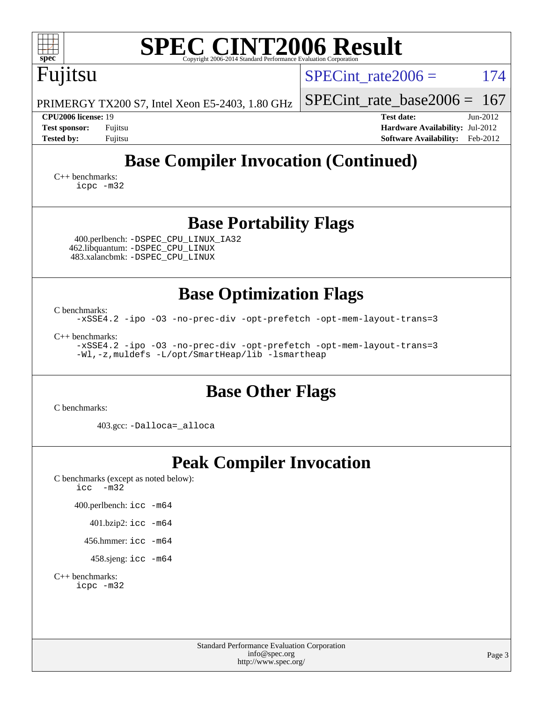| spec <sup>®</sup>                                                                                                                                                                                        | <b>SPEC CINT2006 Result</b><br>Copyright 2006-2014 Standard Performance Evaluation Corporation                                                                                 |            |
|----------------------------------------------------------------------------------------------------------------------------------------------------------------------------------------------------------|--------------------------------------------------------------------------------------------------------------------------------------------------------------------------------|------------|
| Fujitsu                                                                                                                                                                                                  | SPECint rate $2006 =$                                                                                                                                                          | 174        |
| PRIMERGY TX200 S7, Intel Xeon E5-2403, 1.80 GHz                                                                                                                                                          | $SPECint_rate_base2006 = 167$                                                                                                                                                  |            |
| CPU2006 license: 19<br><b>Test sponsor:</b><br>Fujitsu<br><b>Tested by:</b><br>Fujitsu                                                                                                                   | <b>Test date:</b><br>Hardware Availability: Jul-2012<br><b>Software Availability:</b> Feb-2012                                                                                 | $Jun-2012$ |
|                                                                                                                                                                                                          | <b>Base Compiler Invocation (Continued)</b>                                                                                                                                    |            |
| $C_{++}$ benchmarks:<br>icpc -m32                                                                                                                                                                        |                                                                                                                                                                                |            |
|                                                                                                                                                                                                          | <b>Base Portability Flags</b>                                                                                                                                                  |            |
| 400.perlbench: -DSPEC_CPU_LINUX_IA32<br>462.libquantum: -DSPEC_CPU_LINUX<br>483.xalancbmk: -DSPEC_CPU_LINUX                                                                                              |                                                                                                                                                                                |            |
| C benchmarks:<br>$C_{++}$ benchmarks:<br>-Wl,-z, muldefs -L/opt/SmartHeap/lib -lsmartheap                                                                                                                | <b>Base Optimization Flags</b><br>-xSSE4.2 -ipo -03 -no-prec-div -opt-prefetch -opt-mem-layout-trans=3<br>-xSSE4.2 -ipo -03 -no-prec-div -opt-prefetch -opt-mem-layout-trans=3 |            |
| C benchmarks:                                                                                                                                                                                            | <b>Base Other Flags</b>                                                                                                                                                        |            |
| 403.gcc: -Dalloca=_alloca                                                                                                                                                                                |                                                                                                                                                                                |            |
| C benchmarks (except as noted below):<br>icc<br>$-m32$<br>400.perlbench: icc -m64<br>$401.bzip2:$ icc $-m64$<br>456.hmmer: $\text{icc}$ -m64<br>458.sjeng: icc -m64<br>$C_{++}$ benchmarks:<br>icpc -m32 | <b>Peak Compiler Invocation</b>                                                                                                                                                |            |
|                                                                                                                                                                                                          | Standard Performance Evaluation Corporation<br>info@spec.org<br>http://www.spec.org/                                                                                           | Page 3     |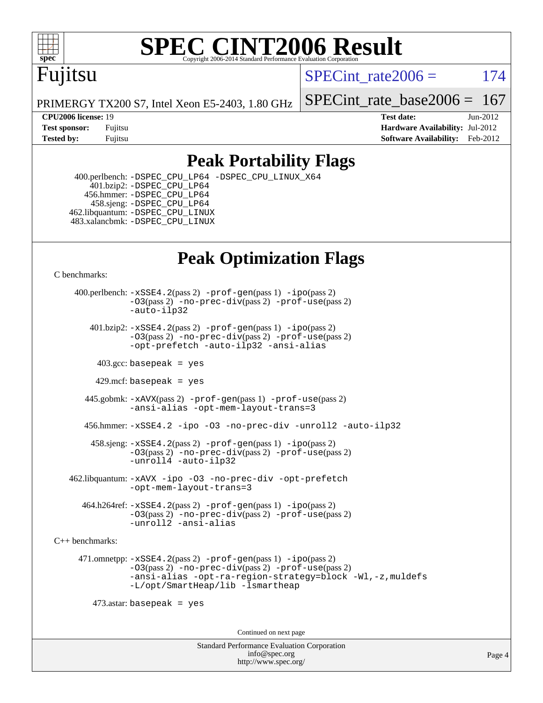

# **[SPEC CINT2006 Result](http://www.spec.org/auto/cpu2006/Docs/result-fields.html#SPECCINT2006Result)**

## Fujitsu

SPECint rate $2006 = 174$ 

PRIMERGY TX200 S7, Intel Xeon E5-2403, 1.80 GHz

[SPECint\\_rate\\_base2006 =](http://www.spec.org/auto/cpu2006/Docs/result-fields.html#SPECintratebase2006)  $167$ 

**[CPU2006 license:](http://www.spec.org/auto/cpu2006/Docs/result-fields.html#CPU2006license)** 19 **[Test date:](http://www.spec.org/auto/cpu2006/Docs/result-fields.html#Testdate)** Jun-2012 **[Test sponsor:](http://www.spec.org/auto/cpu2006/Docs/result-fields.html#Testsponsor)** Fujitsu **[Hardware Availability:](http://www.spec.org/auto/cpu2006/Docs/result-fields.html#HardwareAvailability)** Jul-2012 **[Tested by:](http://www.spec.org/auto/cpu2006/Docs/result-fields.html#Testedby)** Fujitsu **Fugital Example 2012 [Software Availability:](http://www.spec.org/auto/cpu2006/Docs/result-fields.html#SoftwareAvailability)** Feb-2012

### **[Peak Portability Flags](http://www.spec.org/auto/cpu2006/Docs/result-fields.html#PeakPortabilityFlags)**

 400.perlbench: [-DSPEC\\_CPU\\_LP64](http://www.spec.org/cpu2006/results/res2012q3/cpu2006-20120810-24156.flags.html#b400.perlbench_peakCPORTABILITY_DSPEC_CPU_LP64) [-DSPEC\\_CPU\\_LINUX\\_X64](http://www.spec.org/cpu2006/results/res2012q3/cpu2006-20120810-24156.flags.html#b400.perlbench_peakCPORTABILITY_DSPEC_CPU_LINUX_X64) 401.bzip2: [-DSPEC\\_CPU\\_LP64](http://www.spec.org/cpu2006/results/res2012q3/cpu2006-20120810-24156.flags.html#suite_peakCPORTABILITY401_bzip2_DSPEC_CPU_LP64) 456.hmmer: [-DSPEC\\_CPU\\_LP64](http://www.spec.org/cpu2006/results/res2012q3/cpu2006-20120810-24156.flags.html#suite_peakCPORTABILITY456_hmmer_DSPEC_CPU_LP64) 458.sjeng: [-DSPEC\\_CPU\\_LP64](http://www.spec.org/cpu2006/results/res2012q3/cpu2006-20120810-24156.flags.html#suite_peakCPORTABILITY458_sjeng_DSPEC_CPU_LP64) 462.libquantum: [-DSPEC\\_CPU\\_LINUX](http://www.spec.org/cpu2006/results/res2012q3/cpu2006-20120810-24156.flags.html#b462.libquantum_peakCPORTABILITY_DSPEC_CPU_LINUX) 483.xalancbmk: [-DSPEC\\_CPU\\_LINUX](http://www.spec.org/cpu2006/results/res2012q3/cpu2006-20120810-24156.flags.html#b483.xalancbmk_peakCXXPORTABILITY_DSPEC_CPU_LINUX)

## **[Peak Optimization Flags](http://www.spec.org/auto/cpu2006/Docs/result-fields.html#PeakOptimizationFlags)**

[C benchmarks](http://www.spec.org/auto/cpu2006/Docs/result-fields.html#Cbenchmarks):

 400.perlbench: [-xSSE4.2](http://www.spec.org/cpu2006/results/res2012q3/cpu2006-20120810-24156.flags.html#user_peakPASS2_CFLAGSPASS2_LDCFLAGS400_perlbench_f-xSSE42_f91528193cf0b216347adb8b939d4107)(pass 2) [-prof-gen](http://www.spec.org/cpu2006/results/res2012q3/cpu2006-20120810-24156.flags.html#user_peakPASS1_CFLAGSPASS1_LDCFLAGS400_perlbench_prof_gen_e43856698f6ca7b7e442dfd80e94a8fc)(pass 1) [-ipo](http://www.spec.org/cpu2006/results/res2012q3/cpu2006-20120810-24156.flags.html#user_peakPASS2_CFLAGSPASS2_LDCFLAGS400_perlbench_f-ipo)(pass 2) [-O3](http://www.spec.org/cpu2006/results/res2012q3/cpu2006-20120810-24156.flags.html#user_peakPASS2_CFLAGSPASS2_LDCFLAGS400_perlbench_f-O3)(pass 2) [-no-prec-div](http://www.spec.org/cpu2006/results/res2012q3/cpu2006-20120810-24156.flags.html#user_peakPASS2_CFLAGSPASS2_LDCFLAGS400_perlbench_f-no-prec-div)(pass 2) [-prof-use](http://www.spec.org/cpu2006/results/res2012q3/cpu2006-20120810-24156.flags.html#user_peakPASS2_CFLAGSPASS2_LDCFLAGS400_perlbench_prof_use_bccf7792157ff70d64e32fe3e1250b55)(pass 2) [-auto-ilp32](http://www.spec.org/cpu2006/results/res2012q3/cpu2006-20120810-24156.flags.html#user_peakCOPTIMIZE400_perlbench_f-auto-ilp32) 401.bzip2: [-xSSE4.2](http://www.spec.org/cpu2006/results/res2012q3/cpu2006-20120810-24156.flags.html#user_peakPASS2_CFLAGSPASS2_LDCFLAGS401_bzip2_f-xSSE42_f91528193cf0b216347adb8b939d4107)(pass 2) [-prof-gen](http://www.spec.org/cpu2006/results/res2012q3/cpu2006-20120810-24156.flags.html#user_peakPASS1_CFLAGSPASS1_LDCFLAGS401_bzip2_prof_gen_e43856698f6ca7b7e442dfd80e94a8fc)(pass 1) [-ipo](http://www.spec.org/cpu2006/results/res2012q3/cpu2006-20120810-24156.flags.html#user_peakPASS2_CFLAGSPASS2_LDCFLAGS401_bzip2_f-ipo)(pass 2) [-O3](http://www.spec.org/cpu2006/results/res2012q3/cpu2006-20120810-24156.flags.html#user_peakPASS2_CFLAGSPASS2_LDCFLAGS401_bzip2_f-O3)(pass 2) [-no-prec-div](http://www.spec.org/cpu2006/results/res2012q3/cpu2006-20120810-24156.flags.html#user_peakPASS2_CFLAGSPASS2_LDCFLAGS401_bzip2_f-no-prec-div)(pass 2) [-prof-use](http://www.spec.org/cpu2006/results/res2012q3/cpu2006-20120810-24156.flags.html#user_peakPASS2_CFLAGSPASS2_LDCFLAGS401_bzip2_prof_use_bccf7792157ff70d64e32fe3e1250b55)(pass 2) [-opt-prefetch](http://www.spec.org/cpu2006/results/res2012q3/cpu2006-20120810-24156.flags.html#user_peakCOPTIMIZE401_bzip2_f-opt-prefetch) [-auto-ilp32](http://www.spec.org/cpu2006/results/res2012q3/cpu2006-20120810-24156.flags.html#user_peakCOPTIMIZE401_bzip2_f-auto-ilp32) [-ansi-alias](http://www.spec.org/cpu2006/results/res2012q3/cpu2006-20120810-24156.flags.html#user_peakCOPTIMIZE401_bzip2_f-ansi-alias)  $403.\text{sec: basepeak}$  = yes 429.mcf: basepeak = yes

 445.gobmk: [-xAVX](http://www.spec.org/cpu2006/results/res2012q3/cpu2006-20120810-24156.flags.html#user_peakPASS2_CFLAGSPASS2_LDCFLAGS445_gobmk_f-xAVX)(pass 2) [-prof-gen](http://www.spec.org/cpu2006/results/res2012q3/cpu2006-20120810-24156.flags.html#user_peakPASS1_CFLAGSPASS1_LDCFLAGS445_gobmk_prof_gen_e43856698f6ca7b7e442dfd80e94a8fc)(pass 1) [-prof-use](http://www.spec.org/cpu2006/results/res2012q3/cpu2006-20120810-24156.flags.html#user_peakPASS2_CFLAGSPASS2_LDCFLAGS445_gobmk_prof_use_bccf7792157ff70d64e32fe3e1250b55)(pass 2) [-ansi-alias](http://www.spec.org/cpu2006/results/res2012q3/cpu2006-20120810-24156.flags.html#user_peakCOPTIMIZE445_gobmk_f-ansi-alias) [-opt-mem-layout-trans=3](http://www.spec.org/cpu2006/results/res2012q3/cpu2006-20120810-24156.flags.html#user_peakCOPTIMIZE445_gobmk_f-opt-mem-layout-trans_a7b82ad4bd7abf52556d4961a2ae94d5)

456.hmmer: [-xSSE4.2](http://www.spec.org/cpu2006/results/res2012q3/cpu2006-20120810-24156.flags.html#user_peakCOPTIMIZE456_hmmer_f-xSSE42_f91528193cf0b216347adb8b939d4107) [-ipo](http://www.spec.org/cpu2006/results/res2012q3/cpu2006-20120810-24156.flags.html#user_peakCOPTIMIZE456_hmmer_f-ipo) [-O3](http://www.spec.org/cpu2006/results/res2012q3/cpu2006-20120810-24156.flags.html#user_peakCOPTIMIZE456_hmmer_f-O3) [-no-prec-div](http://www.spec.org/cpu2006/results/res2012q3/cpu2006-20120810-24156.flags.html#user_peakCOPTIMIZE456_hmmer_f-no-prec-div) [-unroll2](http://www.spec.org/cpu2006/results/res2012q3/cpu2006-20120810-24156.flags.html#user_peakCOPTIMIZE456_hmmer_f-unroll_784dae83bebfb236979b41d2422d7ec2) [-auto-ilp32](http://www.spec.org/cpu2006/results/res2012q3/cpu2006-20120810-24156.flags.html#user_peakCOPTIMIZE456_hmmer_f-auto-ilp32)

 458.sjeng: [-xSSE4.2](http://www.spec.org/cpu2006/results/res2012q3/cpu2006-20120810-24156.flags.html#user_peakPASS2_CFLAGSPASS2_LDCFLAGS458_sjeng_f-xSSE42_f91528193cf0b216347adb8b939d4107)(pass 2) [-prof-gen](http://www.spec.org/cpu2006/results/res2012q3/cpu2006-20120810-24156.flags.html#user_peakPASS1_CFLAGSPASS1_LDCFLAGS458_sjeng_prof_gen_e43856698f6ca7b7e442dfd80e94a8fc)(pass 1) [-ipo](http://www.spec.org/cpu2006/results/res2012q3/cpu2006-20120810-24156.flags.html#user_peakPASS2_CFLAGSPASS2_LDCFLAGS458_sjeng_f-ipo)(pass 2) [-O3](http://www.spec.org/cpu2006/results/res2012q3/cpu2006-20120810-24156.flags.html#user_peakPASS2_CFLAGSPASS2_LDCFLAGS458_sjeng_f-O3)(pass 2) [-no-prec-div](http://www.spec.org/cpu2006/results/res2012q3/cpu2006-20120810-24156.flags.html#user_peakPASS2_CFLAGSPASS2_LDCFLAGS458_sjeng_f-no-prec-div)(pass 2) [-prof-use](http://www.spec.org/cpu2006/results/res2012q3/cpu2006-20120810-24156.flags.html#user_peakPASS2_CFLAGSPASS2_LDCFLAGS458_sjeng_prof_use_bccf7792157ff70d64e32fe3e1250b55)(pass 2) [-unroll4](http://www.spec.org/cpu2006/results/res2012q3/cpu2006-20120810-24156.flags.html#user_peakCOPTIMIZE458_sjeng_f-unroll_4e5e4ed65b7fd20bdcd365bec371b81f) [-auto-ilp32](http://www.spec.org/cpu2006/results/res2012q3/cpu2006-20120810-24156.flags.html#user_peakCOPTIMIZE458_sjeng_f-auto-ilp32)

 462.libquantum: [-xAVX](http://www.spec.org/cpu2006/results/res2012q3/cpu2006-20120810-24156.flags.html#user_peakCOPTIMIZE462_libquantum_f-xAVX) [-ipo](http://www.spec.org/cpu2006/results/res2012q3/cpu2006-20120810-24156.flags.html#user_peakCOPTIMIZE462_libquantum_f-ipo) [-O3](http://www.spec.org/cpu2006/results/res2012q3/cpu2006-20120810-24156.flags.html#user_peakCOPTIMIZE462_libquantum_f-O3) [-no-prec-div](http://www.spec.org/cpu2006/results/res2012q3/cpu2006-20120810-24156.flags.html#user_peakCOPTIMIZE462_libquantum_f-no-prec-div) [-opt-prefetch](http://www.spec.org/cpu2006/results/res2012q3/cpu2006-20120810-24156.flags.html#user_peakCOPTIMIZE462_libquantum_f-opt-prefetch) [-opt-mem-layout-trans=3](http://www.spec.org/cpu2006/results/res2012q3/cpu2006-20120810-24156.flags.html#user_peakCOPTIMIZE462_libquantum_f-opt-mem-layout-trans_a7b82ad4bd7abf52556d4961a2ae94d5)

 $464.h264$ ref:  $-xSSE4$ .  $2(pass 2)$  [-prof-gen](http://www.spec.org/cpu2006/results/res2012q3/cpu2006-20120810-24156.flags.html#user_peakPASS1_CFLAGSPASS1_LDCFLAGS464_h264ref_prof_gen_e43856698f6ca7b7e442dfd80e94a8fc) $(pass 1)$  [-ipo](http://www.spec.org/cpu2006/results/res2012q3/cpu2006-20120810-24156.flags.html#user_peakPASS2_CFLAGSPASS2_LDCFLAGS464_h264ref_f-ipo) $(pass 2)$ [-O3](http://www.spec.org/cpu2006/results/res2012q3/cpu2006-20120810-24156.flags.html#user_peakPASS2_CFLAGSPASS2_LDCFLAGS464_h264ref_f-O3)(pass 2) [-no-prec-div](http://www.spec.org/cpu2006/results/res2012q3/cpu2006-20120810-24156.flags.html#user_peakPASS2_CFLAGSPASS2_LDCFLAGS464_h264ref_f-no-prec-div)(pass 2) [-prof-use](http://www.spec.org/cpu2006/results/res2012q3/cpu2006-20120810-24156.flags.html#user_peakPASS2_CFLAGSPASS2_LDCFLAGS464_h264ref_prof_use_bccf7792157ff70d64e32fe3e1250b55)(pass 2) [-unroll2](http://www.spec.org/cpu2006/results/res2012q3/cpu2006-20120810-24156.flags.html#user_peakCOPTIMIZE464_h264ref_f-unroll_784dae83bebfb236979b41d2422d7ec2) [-ansi-alias](http://www.spec.org/cpu2006/results/res2012q3/cpu2006-20120810-24156.flags.html#user_peakCOPTIMIZE464_h264ref_f-ansi-alias)

[C++ benchmarks:](http://www.spec.org/auto/cpu2006/Docs/result-fields.html#CXXbenchmarks)

 471.omnetpp: [-xSSE4.2](http://www.spec.org/cpu2006/results/res2012q3/cpu2006-20120810-24156.flags.html#user_peakPASS2_CXXFLAGSPASS2_LDCXXFLAGS471_omnetpp_f-xSSE42_f91528193cf0b216347adb8b939d4107)(pass 2) [-prof-gen](http://www.spec.org/cpu2006/results/res2012q3/cpu2006-20120810-24156.flags.html#user_peakPASS1_CXXFLAGSPASS1_LDCXXFLAGS471_omnetpp_prof_gen_e43856698f6ca7b7e442dfd80e94a8fc)(pass 1) [-ipo](http://www.spec.org/cpu2006/results/res2012q3/cpu2006-20120810-24156.flags.html#user_peakPASS2_CXXFLAGSPASS2_LDCXXFLAGS471_omnetpp_f-ipo)(pass 2) [-O3](http://www.spec.org/cpu2006/results/res2012q3/cpu2006-20120810-24156.flags.html#user_peakPASS2_CXXFLAGSPASS2_LDCXXFLAGS471_omnetpp_f-O3)(pass 2) [-no-prec-div](http://www.spec.org/cpu2006/results/res2012q3/cpu2006-20120810-24156.flags.html#user_peakPASS2_CXXFLAGSPASS2_LDCXXFLAGS471_omnetpp_f-no-prec-div)(pass 2) [-prof-use](http://www.spec.org/cpu2006/results/res2012q3/cpu2006-20120810-24156.flags.html#user_peakPASS2_CXXFLAGSPASS2_LDCXXFLAGS471_omnetpp_prof_use_bccf7792157ff70d64e32fe3e1250b55)(pass 2) [-ansi-alias](http://www.spec.org/cpu2006/results/res2012q3/cpu2006-20120810-24156.flags.html#user_peakCXXOPTIMIZE471_omnetpp_f-ansi-alias) [-opt-ra-region-strategy=block](http://www.spec.org/cpu2006/results/res2012q3/cpu2006-20120810-24156.flags.html#user_peakCXXOPTIMIZE471_omnetpp_f-opt-ra-region-strategy_a0a37c372d03933b2a18d4af463c1f69) [-Wl,-z,muldefs](http://www.spec.org/cpu2006/results/res2012q3/cpu2006-20120810-24156.flags.html#user_peakEXTRA_LDFLAGS471_omnetpp_link_force_multiple1_74079c344b956b9658436fd1b6dd3a8a) [-L/opt/SmartHeap/lib -lsmartheap](http://www.spec.org/cpu2006/results/res2012q3/cpu2006-20120810-24156.flags.html#user_peakEXTRA_LIBS471_omnetpp_SmartHeap_1046f488ce4b4d9d2689b01742ccb999)

 $473$ .astar: basepeak = yes

Continued on next page

Standard Performance Evaluation Corporation [info@spec.org](mailto:info@spec.org) <http://www.spec.org/>